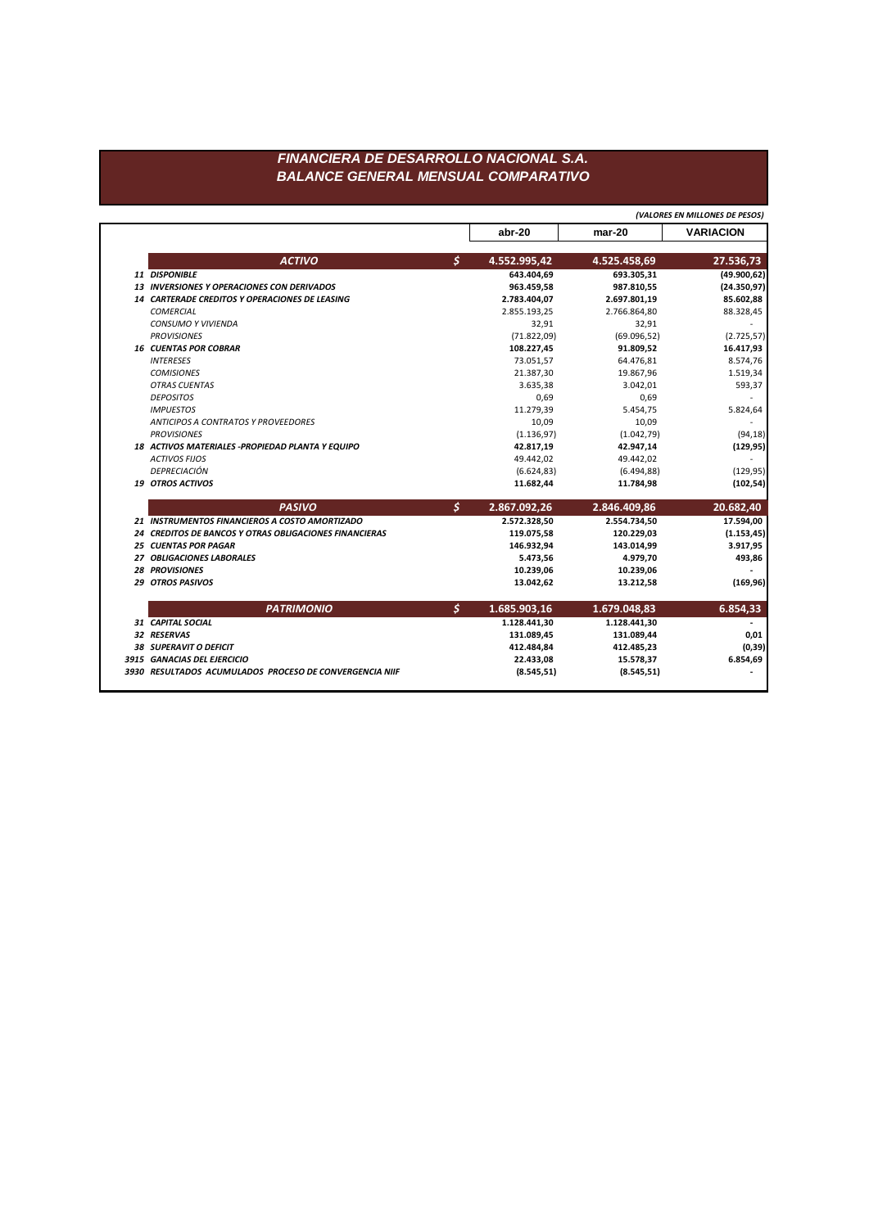## FINANCIERA DE DESARROLLO NACIONAL S.A. **BALANCE GENERAL MENSUAL COMPARATIVO**

|                                                        |                    | (VALORES EN MILLONES DE PESOS) |                  |
|--------------------------------------------------------|--------------------|--------------------------------|------------------|
|                                                        | abr-20             | $mar-20$                       | <b>VARIACION</b> |
| <b>ACTIVO</b>                                          | \$<br>4.552.995,42 | 4.525.458,69                   | 27.536,73        |
| 11 DISPONIBLE                                          | 643.404,69         | 693.305,31                     | (49.900, 62)     |
| 13 INVERSIONES Y OPERACIONES CON DERIVADOS             | 963.459,58         | 987.810,55                     | (24.350, 97)     |
| 14 CARTERADE CREDITOS Y OPERACIONES DE LEASING         | 2.783.404,07       | 2.697.801,19                   | 85.602,88        |
| <b>COMERCIAL</b>                                       | 2.855.193,25       | 2.766.864,80                   | 88.328,45        |
| <b>CONSUMO Y VIVIENDA</b>                              | 32,91              | 32,91                          |                  |
| <b>PROVISIONES</b>                                     | (71.822,09)        | (69.096, 52)                   | (2.725, 57)      |
| <b>16 CUENTAS POR COBRAR</b>                           | 108.227,45         | 91.809,52                      | 16.417,93        |
| <b>INTERESES</b>                                       | 73.051,57          | 64.476,81                      | 8.574,76         |
| <b>COMISIONES</b>                                      | 21.387,30          | 19.867,96                      | 1.519,34         |
| <b>OTRAS CUENTAS</b>                                   | 3.635,38           | 3.042,01                       | 593,37           |
| <b>DEPOSITOS</b>                                       | 0,69               | 0.69                           |                  |
| <b>IMPUESTOS</b>                                       | 11.279,39          | 5.454,75                       | 5.824,64         |
| <b>ANTICIPOS A CONTRATOS Y PROVEEDORES</b>             | 10,09              | 10,09                          |                  |
| <b>PROVISIONES</b>                                     | (1.136, 97)        | (1.042, 79)                    | (94, 18)         |
| 18 ACTIVOS MATERIALES -PROPIEDAD PLANTA Y EQUIPO       | 42.817,19          | 42.947,14                      | (129, 95)        |
| <b>ACTIVOS FIJOS</b>                                   | 49.442,02          | 49.442,02                      |                  |
| DEPRECIACIÓN                                           | (6.624, 83)        | (6.494, 88)                    | (129, 95)        |
| <b>19 OTROS ACTIVOS</b>                                | 11.682,44          | 11.784,98                      | (102, 54)        |
| <b>PASIVO</b>                                          | \$<br>2.867.092,26 | 2.846.409,86                   | 20.682,40        |
| 21 INSTRUMENTOS FINANCIEROS A COSTO AMORTIZADO         | 2.572.328,50       | 2.554.734,50                   | 17.594,00        |
| 24 CREDITOS DE BANCOS Y OTRAS OBLIGACIONES FINANCIERAS | 119.075,58         | 120.229,03                     | (1.153, 45)      |
| <b>25 CUENTAS POR PAGAR</b>                            | 146.932,94         | 143.014,99                     | 3.917,95         |
| 27 OBLIGACIONES LABORALES                              | 5.473,56           | 4.979,70                       | 493,86           |
| <b>28 PROVISIONES</b>                                  | 10.239,06          | 10.239,06                      |                  |
| <b>29 OTROS PASIVOS</b>                                | 13.042,62          | 13.212,58                      | (169, 96)        |
| <b>PATRIMONIO</b>                                      | \$<br>1.685.903,16 | 1.679.048,83                   | 6.854,33         |
| 31 CAPITAL SOCIAL                                      | 1.128.441,30       | 1.128.441,30                   |                  |
| 32 RESERVAS                                            | 131.089,45         | 131.089,44                     | 0,01             |
| <b>38 SUPERAVIT O DEFICIT</b>                          | 412.484,84         | 412.485,23                     | (0, 39)          |
|                                                        |                    |                                |                  |
| 3915 GANACIAS DEL EJERCICIO                            | 22.433,08          | 15.578,37                      | 6.854,69         |